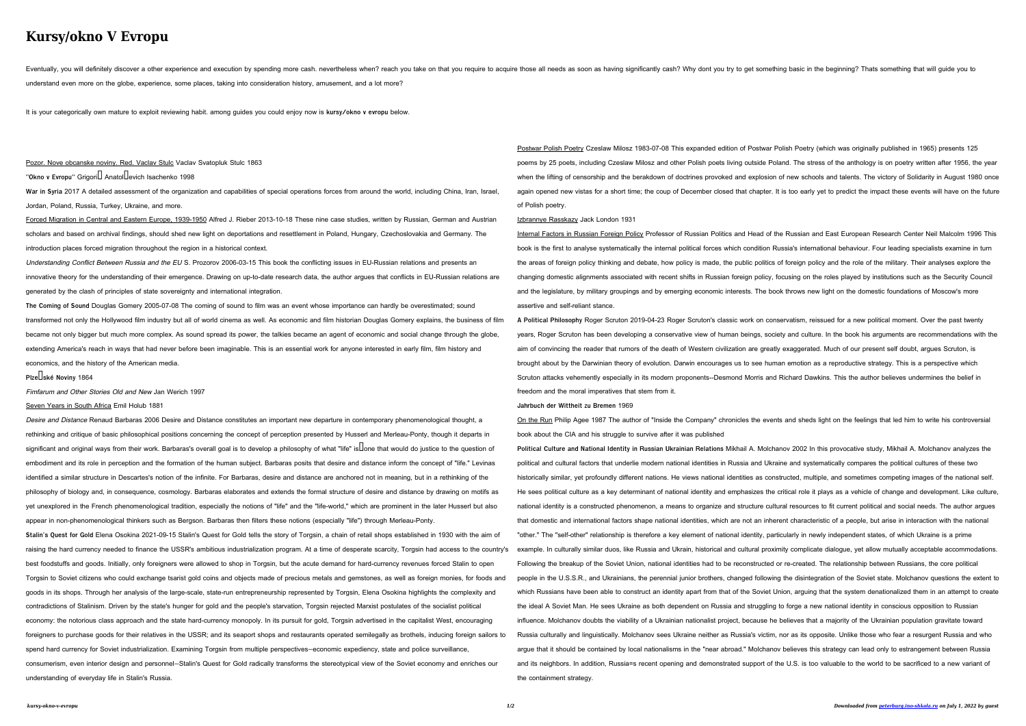# **Kursy/okno V Evropu**

Eventually, you will definitely discover a other experience and execution by spending more cash. nevertheless when? reach you take on that you require those all needs as soon as having significantly cash? Why dont you try understand even more on the globe, experience, some places, taking into consideration history, amusement, and a lot more?

Pozor. Nove obcanske noviny. Red. Vaclav Stulc Vaclav Svatopluk Stulc 1863 **"Okno v Evropu"** Grigori**∐ Anatol** evich Isachenko 1998

War in Syria 2017 A detailed assessment of the organization and capabilities of special operations forces from around the world, including China, Iran, Israel, Jordan, Poland, Russia, Turkey, Ukraine, and more.

It is your categorically own mature to exploit reviewing habit. among guides you could enjoy now is **kursy/okno v evropu** below.

Forced Migration in Central and Eastern Europe, 1939-1950 Alfred J. Rieber 2013-10-18 These nine case studies, written by Russian, German and Austrian scholars and based on archival findings, should shed new light on deportations and resettlement in Poland, Hungary, Czechoslovakia and Germany. The introduction places forced migration throughout the region in a historical context.

Understanding Conflict Between Russia and the EU S. Prozorov 2006-03-15 This book the conflicting issues in EU-Russian relations and presents an innovative theory for the understanding of their emergence. Drawing on up-to-date research data, the author argues that conflicts in EU-Russian relations are generated by the clash of principles of state sovereignty and international integration.

Desire and Distance Renaud Barbaras 2006 Desire and Distance constitutes an important new departure in contemporary phenomenological thought, a rethinking and critique of basic philosophical positions concerning the concept of perception presented by Husserl and Merleau-Ponty, though it departs in significant and original ways from their work. Barbaras's overall goal is to develop a philosophy of what "life" is lone that would do justice to the question of embodiment and its role in perception and the formation of the human subject. Barbaras posits that desire and distance inform the concept of "life." Levinas identified a similar structure in Descartes's notion of the infinite. For Barbaras, desire and distance are anchored not in meaning, but in a rethinking of the philosophy of biology and, in consequence, cosmology. Barbaras elaborates and extends the formal structure of desire and distance by drawing on motifs as yet unexplored in the French phenomenological tradition, especially the notions of "life" and the "life-world," which are prominent in the later Husserl but also appear in non-phenomenological thinkers such as Bergson. Barbaras then filters these notions (especially "life") through Merleau-Ponty.

**The Coming of Sound** Douglas Gomery 2005-07-08 The coming of sound to film was an event whose importance can hardly be overestimated; sound transformed not only the Hollywood film industry but all of world cinema as well. As economic and film historian Douglas Gomery explains, the business of film became not only bigger but much more complex. As sound spread its power, the talkies became an agent of economic and social change through the globe, extending America's reach in ways that had never before been imaginable. This is an essential work for anyone interested in early film, film history and economics, and the history of the American media.

### **Plzeňské Noviny** 1864

Fimfarum and Other Stories Old and New Jan Werich 1997

#### Seven Years in South Africa Emil Holub 1881

Postwar Polish Poetry Czeslaw Milosz 1983-07-08 This expanded edition of Postwar Polish Poetry (which was originally published in 1965) presents 125 poems by 25 poets, including Czeslaw Milosz and other Polish poets living outside Poland. The stress of the anthology is on poetry written after 1956, the year when the lifting of censorship and the berakdown of doctrines provoked and explosion of new schools and talents. The victory of Solidarity in August 1980 once again opened new vistas for a short time; the coup of December closed that chapter. It is too early yet to predict the impact these events will have on the future

Internal Factors in Russian Foreign Policy Professor of Russian Politics and Head of the Russian and East European Research Center Neil Malcolm 1996 This book is the first to analyse systematically the internal political forces which condition Russia's international behaviour. Four leading specialists examine in turn the areas of foreign policy thinking and debate, how policy is made, the public politics of foreign policy and the role of the military. Their analyses explore the changing domestic alignments associated with recent shifts in Russian foreign policy, focusing on the roles played by institutions such as the Security Council and the legislature, by military groupings and by emerging economic interests. The book throws new light on the domestic foundations of Moscow's more assertive and self-reliant stance.

**Stalin's Quest for Gold** Elena Osokina 2021-09-15 Stalin's Quest for Gold tells the story of Torgsin, a chain of retail shops established in 1930 with the aim of raising the hard currency needed to finance the USSR's ambitious industrialization program. At a time of desperate scarcity, Torgsin had access to the country's best foodstuffs and goods. Initially, only foreigners were allowed to shop in Torgsin, but the acute demand for hard-currency revenues forced Stalin to open Torgsin to Soviet citizens who could exchange tsarist gold coins and objects made of precious metals and gemstones, as well as foreign monies, for foods and goods in its shops. Through her analysis of the large-scale, state-run entrepreneurship represented by Torgsin, Elena Osokina highlights the complexity and contradictions of Stalinism. Driven by the state's hunger for gold and the people's starvation, Torgsin rejected Marxist postulates of the socialist political economy: the notorious class approach and the state hard-currency monopoly. In its pursuit for gold, Torgsin advertised in the capitalist West, encouraging foreigners to purchase goods for their relatives in the USSR; and its seaport shops and restaurants operated semilegally as brothels, inducing foreign sailors to

spend hard currency for Soviet industrialization. Examining Torgsin from multiple perspectives—economic expediency, state and police surveillance,

consumerism, even interior design and personnel—Stalin's Quest for Gold radically transforms the stereotypical view of the Soviet economy and enriches our understanding of everyday life in Stalin's Russia.

of Polish poetry.

#### Izbrannye Rasskazy Jack London 1931

**A Political Philosophy** Roger Scruton 2019-04-23 Roger Scruton's classic work on conservatism, reissued for a new political moment. Over the past twenty years, Roger Scruton has been developing a conservative view of human beings, society and culture. In the book his arguments are recommendations with the aim of convincing the reader that rumors of the death of Western civilization are greatly exaggerated. Much of our present self doubt, argues Scruton, is brought about by the Darwinian theory of evolution. Darwin encourages us to see human emotion as a reproductive strategy. This is a perspective which Scruton attacks vehemently especially in its modern proponents--Desmond Morris and Richard Dawkins. This the author believes undermines the belief in freedom and the moral imperatives that stem from it.

#### **Jahrbuch der Wittheit zu Bremen** 1969

On the Run Philip Agee 1987 The author of "Inside the Company" chronicles the events and sheds light on the feelings that led him to write his controversial book about the CIA and his struggle to survive after it was published

**Political Culture and National Identity in Russian Ukrainian Relations** Mikhail A. Molchanov 2002 In this provocative study, Mikhail A. Molchanov analyzes the political and cultural factors that underlie modern national identities in Russia and Ukraine and systematically compares the political cultures of these two historically similar, yet profoundly different nations. He views national identities as constructed, multiple, and sometimes competing images of the national self. He sees political culture as a key determinant of national identity and emphasizes the critical role it plays as a vehicle of change and development. Like culture, national identity is a constructed phenomenon, a means to organize and structure cultural resources to fit current political and social needs. The author argues that domestic and international factors shape national identities, which are not an inherent characteristic of a people, but arise in interaction with the national "other." The "self-other" relationship is therefore a key element of national identity, particularly in newly independent states, of which Ukraine is a prime example. In culturally similar duos, like Russia and Ukrain, historical and cultural proximity complicate dialogue, yet allow mutually acceptable accommodations Following the breakup of the Soviet Union, national identities had to be reconstructed or re-created. The relationship between Russians, the core political people in the U.S.S.R., and Ukrainians, the perennial junior brothers, changed following the disintegration of the Soviet state. Molchanov questions the extent to which Russians have been able to construct an identity apart from that of the Soviet Union, arguing that the system denationalized them in an attempt to create the ideal A Soviet Man. He sees Ukraine as both dependent on Russia and struggling to forge a new national identity in conscious opposition to Russian influence. Molchanov doubts the viability of a Ukrainian nationalist project, because he believes that a majority of the Ukrainian population gravitate toward Russia culturally and linguistically. Molchanov sees Ukraine neither as Russia's victim, nor as its opposite. Unlike those who fear a resurgent Russia and who argue that it should be contained by local nationalisms in the "near abroad." Molchanov believes this strategy can lead only to estrangement between Russia and its neighbors. In addition, Russia=s recent opening and demonstrated support of the U.S. is too valuable to the world to be sacrificed to a new variant of the containment strategy.